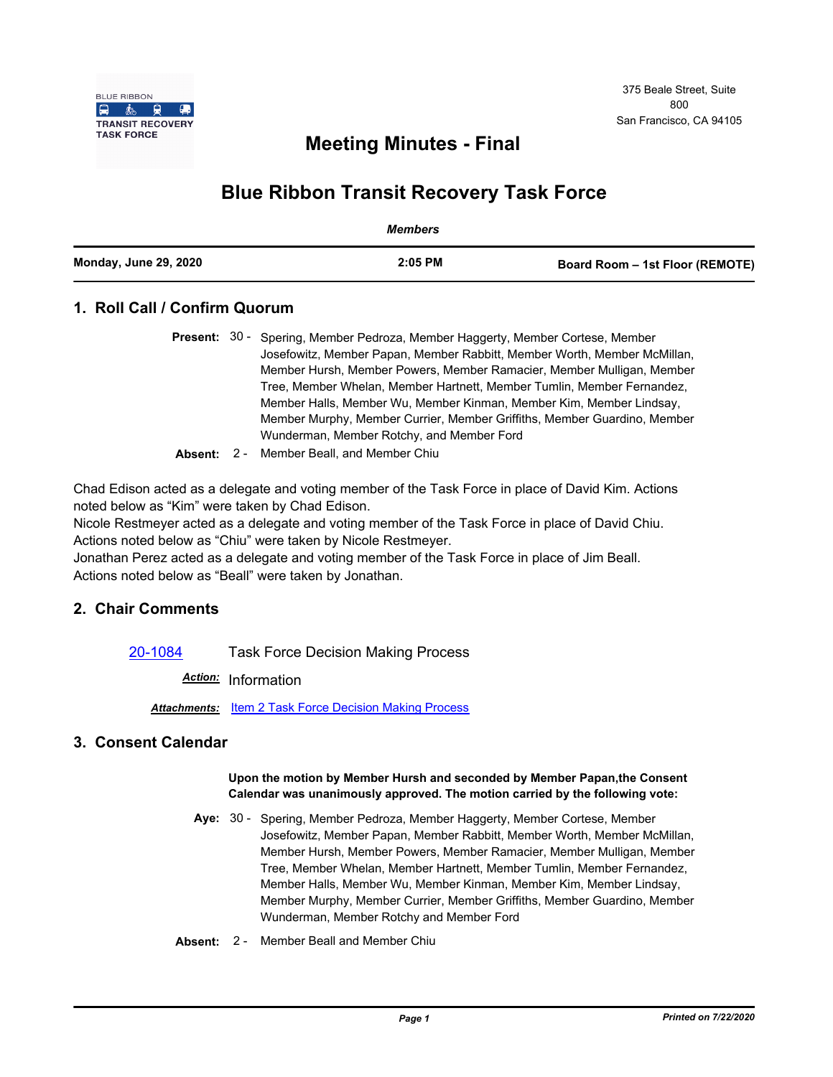

## **Meeting Minutes - Final**

# **Blue Ribbon Transit Recovery Task Force**

|                              | Members   |                                 |
|------------------------------|-----------|---------------------------------|
| <b>Monday, June 29, 2020</b> | $2:05$ PM | Board Room - 1st Floor (REMOTE) |

## **1. Roll Call / Confirm Quorum**

|  | <b>Present:</b> 30 - Spering, Member Pedroza, Member Haggerty, Member Cortese, Member |  |
|--|---------------------------------------------------------------------------------------|--|
|  | Josefowitz, Member Papan, Member Rabbitt, Member Worth, Member McMillan,              |  |
|  | Member Hursh, Member Powers, Member Ramacier, Member Mulligan, Member                 |  |
|  | Tree, Member Whelan, Member Hartnett, Member Tumlin, Member Fernandez,                |  |
|  | Member Halls, Member Wu, Member Kinman, Member Kim, Member Lindsay,                   |  |
|  | Member Murphy, Member Currier, Member Griffiths, Member Guardino, Member              |  |
|  | Wunderman, Member Rotchy, and Member Ford                                             |  |

**Absent:** 2 - Member Beall, and Member Chiu

Chad Edison acted as a delegate and voting member of the Task Force in place of David Kim. Actions noted below as "Kim" were taken by Chad Edison.

Nicole Restmeyer acted as a delegate and voting member of the Task Force in place of David Chiu. Actions noted below as "Chiu" were taken by Nicole Restmeyer.

Jonathan Perez acted as a delegate and voting member of the Task Force in place of Jim Beall. Actions noted below as "Beall" were taken by Jonathan.

## **2. Chair Comments**

[20-1084](http://mtc.legistar.com/gateway.aspx?m=l&id=/matter.aspx?key=20948) Task Force Decision Making Process

*Action:* Information

*Attachments:* [Item 2 Task Force Decision Making Process](http://mtc.legistar.com/gateway.aspx?M=F&ID=d9c5e8de-7f39-477c-a8b7-16fac79109d9.pdf)

### **3. Consent Calendar**

#### **Upon the motion by Member Hursh and seconded by Member Papan,the Consent Calendar was unanimously approved. The motion carried by the following vote:**

- Aye: 30 Spering, Member Pedroza, Member Haggerty, Member Cortese, Member Josefowitz, Member Papan, Member Rabbitt, Member Worth, Member McMillan, Member Hursh, Member Powers, Member Ramacier, Member Mulligan, Member Tree, Member Whelan, Member Hartnett, Member Tumlin, Member Fernandez, Member Halls, Member Wu, Member Kinman, Member Kim, Member Lindsay, Member Murphy, Member Currier, Member Griffiths, Member Guardino, Member Wunderman, Member Rotchy and Member Ford
- **Absent:** 2 Member Beall and Member Chiu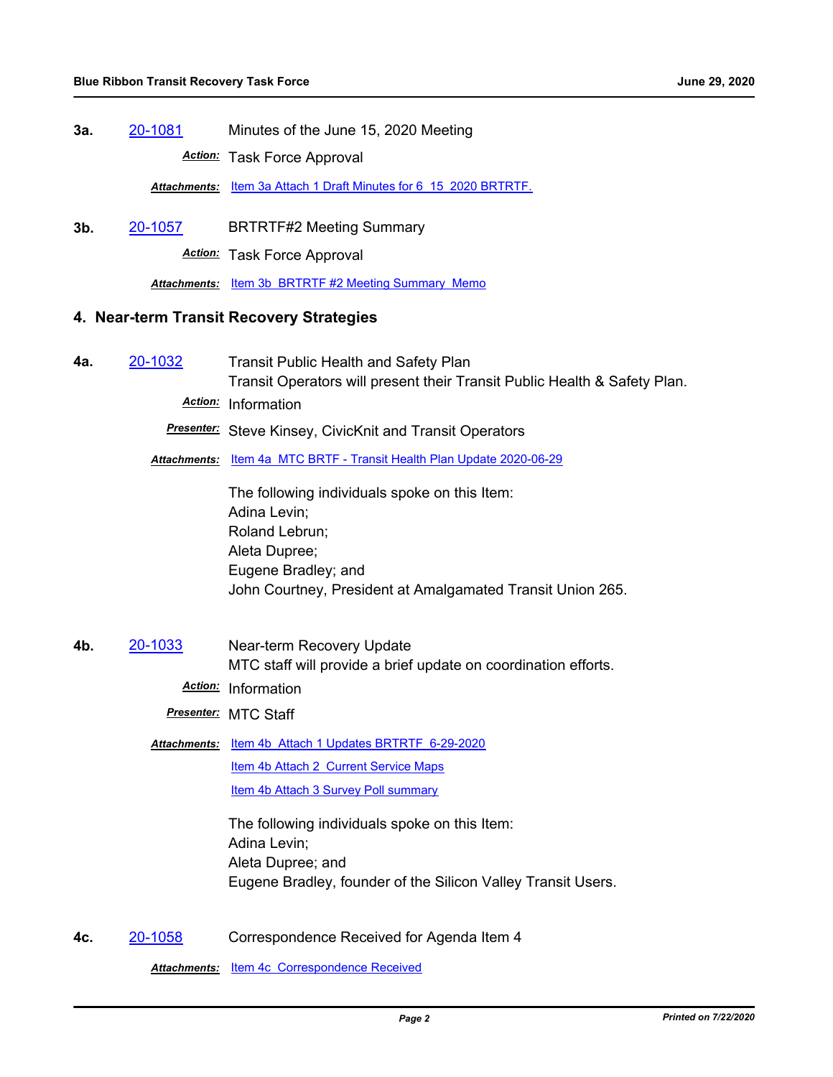**3a.** [20-1081](http://mtc.legistar.com/gateway.aspx?m=l&id=/matter.aspx?key=20945) Minutes of the June 15, 2020 Meeting *Action:* Task Force Approval

*Attachments:* [Item 3a Attach 1 Draft Minutes for 6\\_15\\_2020 BRTRTF.](http://mtc.legistar.com/gateway.aspx?M=F&ID=8cd37ebb-6f49-43d5-872a-7f2af56d5acd.pdf)

**3b.** [20-1057](http://mtc.legistar.com/gateway.aspx?m=l&id=/matter.aspx?key=20921) BRTRTF#2 Meeting Summary

*Action:* Task Force Approval

*Attachments:* [Item 3b BRTRTF #2 Meeting Summary Memo](http://mtc.legistar.com/gateway.aspx?M=F&ID=8b0f1909-3f8b-4c22-af6c-37a9d885754a.pdf)

### **4. Near-term Transit Recovery Strategies**

**4a.** [20-1032](http://mtc.legistar.com/gateway.aspx?m=l&id=/matter.aspx?key=20896) Transit Public Health and Safety Plan Transit Operators will present their Transit Public Health & Safety Plan. *Action:* Information

*Presenter:* Steve Kinsey, CivicKnit and Transit Operators

*Attachments:* [Item 4a MTC BRTF - Transit Health Plan Update 2020-06-29](http://mtc.legistar.com/gateway.aspx?M=F&ID=0674d826-3fc0-4d70-bedd-931ea12596ce.pdf)

The following individuals spoke on this Item: Adina Levin; Roland Lebrun; Aleta Dupree; Eugene Bradley; and John Courtney, President at Amalgamated Transit Union 265.

**4b.** [20-1033](http://mtc.legistar.com/gateway.aspx?m=l&id=/matter.aspx?key=20897) Near-term Recovery Update MTC staff will provide a brief update on coordination efforts.

*Action:* Information

*Presenter:* MTC Staff

Attachments: ltem 4b Attach 1 Updates BRTRTF 6-29-2020 [Item 4b Attach 2 Current Service Maps](http://mtc.legistar.com/gateway.aspx?M=F&ID=2629378f-b984-4de2-9848-73de3b64a30b.pdf)

[Item 4b Attach 3 Survey Poll summary](http://mtc.legistar.com/gateway.aspx?M=F&ID=67150c2b-3e10-44b0-a775-72ff7331afa9.pdf)

The following individuals spoke on this Item: Adina Levin; Aleta Dupree; and Eugene Bradley, founder of the Silicon Valley Transit Users.

**4c.** [20-1058](http://mtc.legistar.com/gateway.aspx?m=l&id=/matter.aspx?key=20922) Correspondence Received for Agenda Item 4

*Attachments:* [Item 4c Correspondence Received](http://mtc.legistar.com/gateway.aspx?M=F&ID=c1f7ea20-97f3-4af7-ba9c-94e671e5b935.pdf)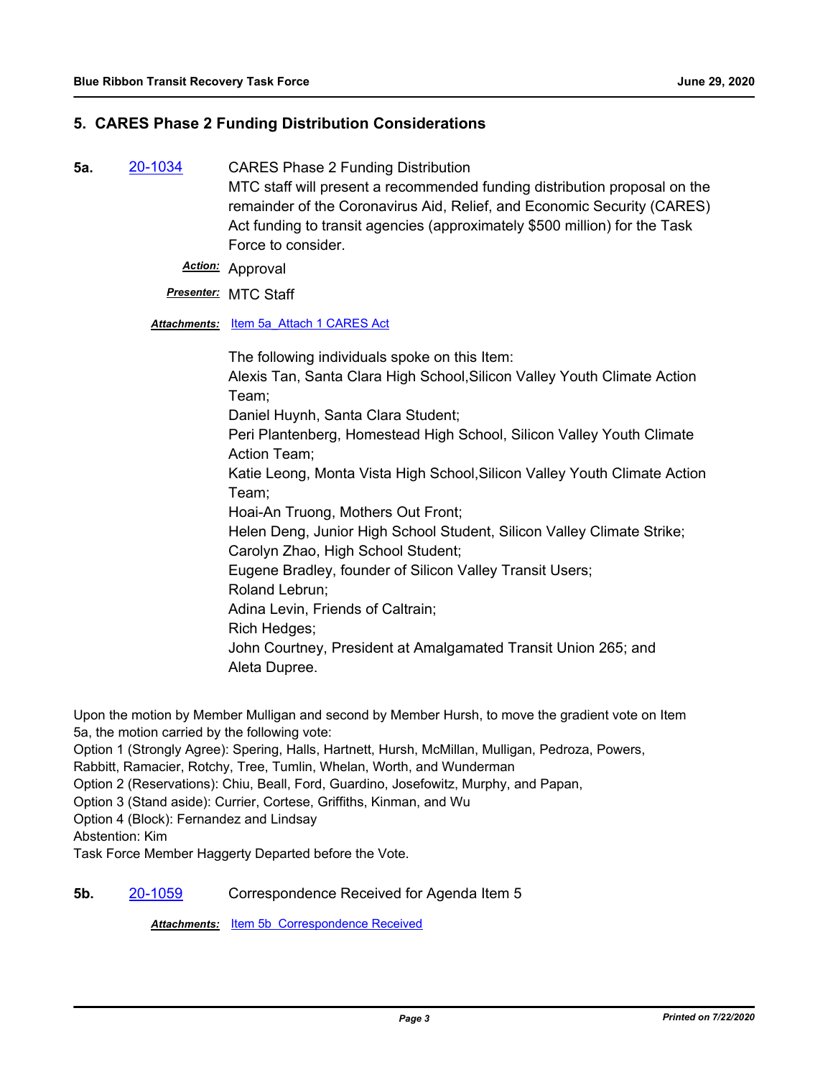## **5. CARES Phase 2 Funding Distribution Considerations**

- **5a.** [20-1034](http://mtc.legistar.com/gateway.aspx?m=l&id=/matter.aspx?key=20898) CARES Phase 2 Funding Distribution MTC staff will present a recommended funding distribution proposal on the remainder of the Coronavirus Aid, Relief, and Economic Security (CARES) Act funding to transit agencies (approximately \$500 million) for the Task Force to consider.
	- *Action:* Approval

### *Presenter:* MTC Staff

*Attachments:* [Item 5a\\_Attach 1 CARES Act](http://mtc.legistar.com/gateway.aspx?M=F&ID=486ca1fb-8c10-4b36-98af-46353ff09067.pdf)

The following individuals spoke on this Item: Alexis Tan, Santa Clara High School,Silicon Valley Youth Climate Action Team; Daniel Huynh, Santa Clara Student; Peri Plantenberg, Homestead High School, Silicon Valley Youth Climate Action Team; Katie Leong, Monta Vista High School,Silicon Valley Youth Climate Action Team; Hoai-An Truong, Mothers Out Front; Helen Deng, Junior High School Student, Silicon Valley Climate Strike; Carolyn Zhao, High School Student; Eugene Bradley, founder of Silicon Valley Transit Users; Roland Lebrun; Adina Levin, Friends of Caltrain; Rich Hedges; John Courtney, President at Amalgamated Transit Union 265; and Aleta Dupree.

Upon the motion by Member Mulligan and second by Member Hursh, to move the gradient vote on Item 5a, the motion carried by the following vote:

Option 1 (Strongly Agree): Spering, Halls, Hartnett, Hursh, McMillan, Mulligan, Pedroza, Powers,

Rabbitt, Ramacier, Rotchy, Tree, Tumlin, Whelan, Worth, and Wunderman

Option 2 (Reservations): Chiu, Beall, Ford, Guardino, Josefowitz, Murphy, and Papan,

Option 3 (Stand aside): Currier, Cortese, Griffiths, Kinman, and Wu

Option 4 (Block): Fernandez and Lindsay

Abstention: Kim

Task Force Member Haggerty Departed before the Vote.

### **5b.** [20-1059](http://mtc.legistar.com/gateway.aspx?m=l&id=/matter.aspx?key=20923) Correspondence Received for Agenda Item 5

*Attachments:* [Item 5b Correspondence Received](http://mtc.legistar.com/gateway.aspx?M=F&ID=7ec2b01e-1af3-4075-963f-58ea094d67d3.pdf)